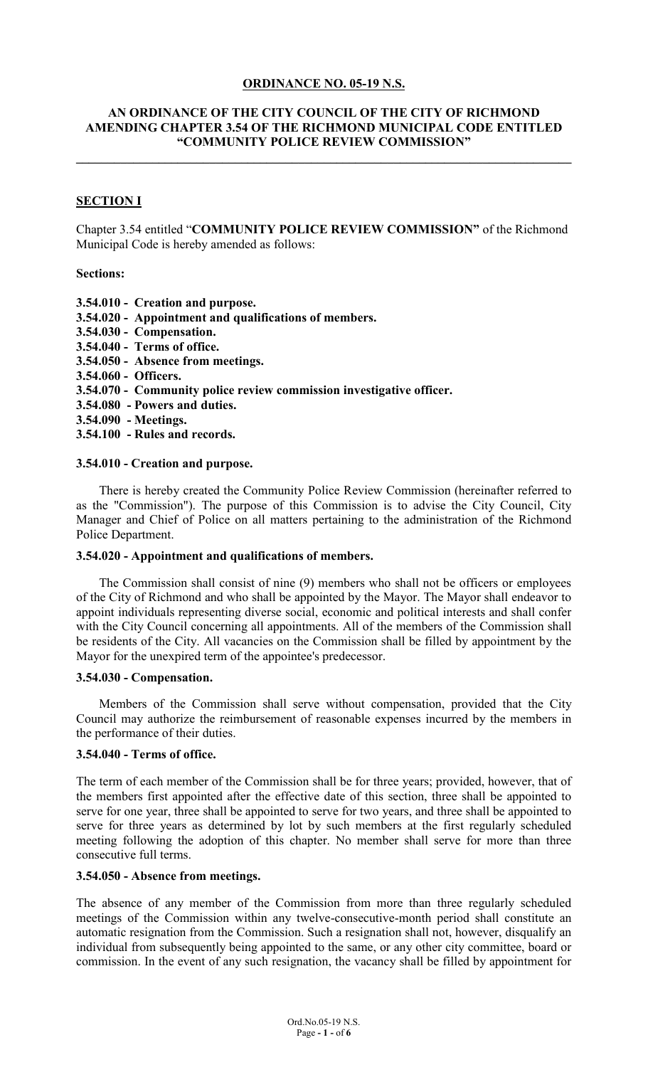### **ORDINANCE NO. 05-19 N.S.**

### **AN ORDINANCE OF THE CITY COUNCIL OF THE CITY OF RICHMOND AMENDING CHAPTER 3.54 OF THE RICHMOND MUNICIPAL CODE ENTITLED "COMMUNITY POLICE REVIEW COMMISSION"**

**\_\_\_\_\_\_\_\_\_\_\_\_\_\_\_\_\_\_\_\_\_\_\_\_\_\_\_\_\_\_\_\_\_\_\_\_\_\_\_\_\_\_\_\_\_\_\_\_\_\_\_\_\_\_\_\_\_\_\_\_\_\_\_\_\_\_\_\_\_\_\_\_\_\_\_\_\_\_**

### **SECTION I**

Chapter 3.54 entitled "**COMMUNITY POLICE REVIEW COMMISSION"** of the Richmond Municipal Code is hereby amended as follows:

#### **Sections:**

- **3.54.010 Creation and purpose.**
- **3.54.020 Appointment and qualifications of members.**
- **3.54.030 Compensation.**
- **3.54.040 Terms of office.**
- **3.54.050 Absence from meetings.**
- **3.54.060 Officers.**
- **3.54.070 Community police review commission investigative officer.**
- **3.54.080 Powers and duties.**
- **3.54.090 Meetings.**
- **3.54.100 Rules and records.**

#### **3.54.010 - Creation and purpose.**

There is hereby created the Community Police Review Commission (hereinafter referred to as the "Commission"). The purpose of this Commission is to advise the City Council, City Manager and Chief of Police on all matters pertaining to the administration of the Richmond Police Department.

#### **3.54.020 - Appointment and qualifications of members.**

The Commission shall consist of nine (9) members who shall not be officers or employees of the City of Richmond and who shall be appointed by the Mayor. The Mayor shall endeavor to appoint individuals representing diverse social, economic and political interests and shall confer with the City Council concerning all appointments. All of the members of the Commission shall be residents of the City. All vacancies on the Commission shall be filled by appointment by the Mayor for the unexpired term of the appointee's predecessor.

#### **3.54.030 - Compensation.**

Members of the Commission shall serve without compensation, provided that the City Council may authorize the reimbursement of reasonable expenses incurred by the members in the performance of their duties.

### **3.54.040 - Terms of office.**

The term of each member of the Commission shall be for three years; provided, however, that of the members first appointed after the effective date of this section, three shall be appointed to serve for one year, three shall be appointed to serve for two years, and three shall be appointed to serve for three years as determined by lot by such members at the first regularly scheduled meeting following the adoption of this chapter. No member shall serve for more than three consecutive full terms.

## **3.54.050 - Absence from meetings.**

The absence of any member of the Commission from more than three regularly scheduled meetings of the Commission within any twelve-consecutive-month period shall constitute an automatic resignation from the Commission. Such a resignation shall not, however, disqualify an individual from subsequently being appointed to the same, or any other city committee, board or commission. In the event of any such resignation, the vacancy shall be filled by appointment for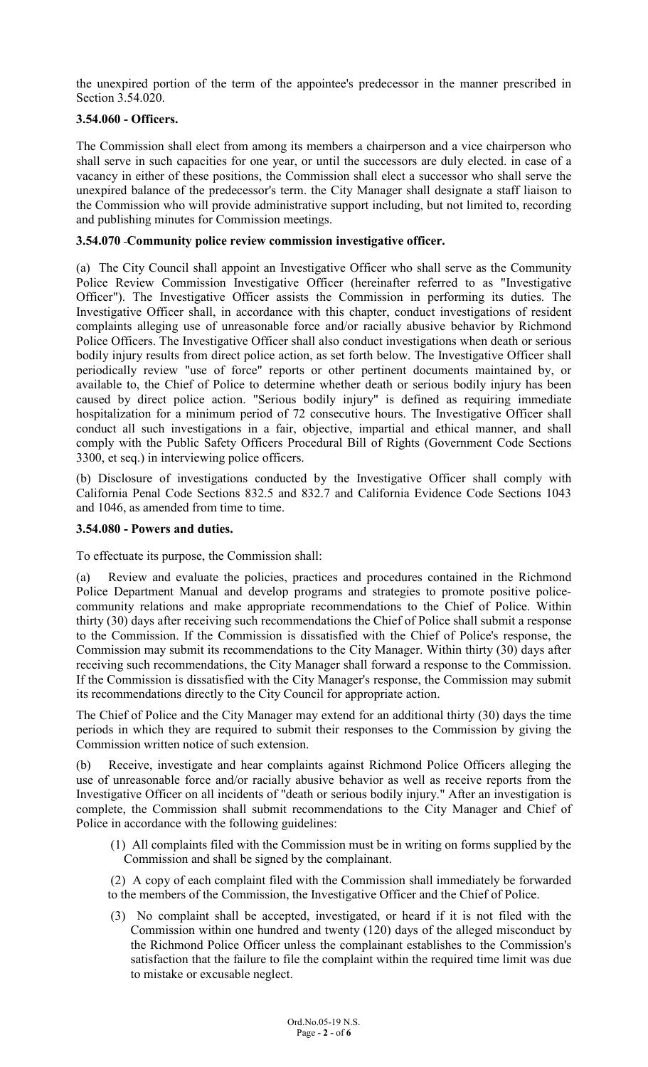the unexpired portion of the term of the appointee's predecessor in the manner prescribed in Section 3.54.020.

# **3.54.060 - Officers.**

The Commission shall elect from among its members a chairperson and a vice chairperson who shall serve in such capacities for one year, or until the successors are duly elected. in case of a vacancy in either of these positions, the Commission shall elect a successor who shall serve the unexpired balance of the predecessor's term. the City Manager shall designate a staff liaison to the Commission who will provide administrative support including, but not limited to, recording and publishing minutes for Commission meetings.

# **3.54.070 Community police review commission investigative officer.**

(a) The City Council shall appoint an Investigative Officer who shall serve as the Community Police Review Commission Investigative Officer (hereinafter referred to as "Investigative Officer"). The Investigative Officer assists the Commission in performing its duties. The Investigative Officer shall, in accordance with this chapter, conduct investigations of resident complaints alleging use of unreasonable force and/or racially abusive behavior by Richmond Police Officers. The Investigative Officer shall also conduct investigations when death or serious bodily injury results from direct police action, as set forth below. The Investigative Officer shall periodically review "use of force" reports or other pertinent documents maintained by, or available to, the Chief of Police to determine whether death or serious bodily injury has been caused by direct police action. "Serious bodily injury" is defined as requiring immediate hospitalization for a minimum period of 72 consecutive hours. The Investigative Officer shall conduct all such investigations in a fair, objective, impartial and ethical manner, and shall comply with the Public Safety Officers Procedural Bill of Rights (Government Code Sections 3300, et seq.) in interviewing police officers.

(b) Disclosure of investigations conducted by the Investigative Officer shall comply with California Penal Code Sections 832.5 and 832.7 and California Evidence Code Sections 1043 and 1046, as amended from time to time.

## **3.54.080 - Powers and duties.**

To effectuate its purpose, the Commission shall:

(a) Review and evaluate the policies, practices and procedures contained in the Richmond Police Department Manual and develop programs and strategies to promote positive policecommunity relations and make appropriate recommendations to the Chief of Police. Within thirty (30) days after receiving such recommendations the Chief of Police shall submit a response to the Commission. If the Commission is dissatisfied with the Chief of Police's response, the Commission may submit its recommendations to the City Manager. Within thirty (30) days after receiving such recommendations, the City Manager shall forward a response to the Commission. If the Commission is dissatisfied with the City Manager's response, the Commission may submit its recommendations directly to the City Council for appropriate action.

The Chief of Police and the City Manager may extend for an additional thirty (30) days the time periods in which they are required to submit their responses to the Commission by giving the Commission written notice of such extension.

(b) Receive, investigate and hear complaints against Richmond Police Officers alleging the use of unreasonable force and/or racially abusive behavior as well as receive reports from the Investigative Officer on all incidents of "death or serious bodily injury." After an investigation is complete, the Commission shall submit recommendations to the City Manager and Chief of Police in accordance with the following guidelines:

(1) All complaints filed with the Commission must be in writing on forms supplied by the Commission and shall be signed by the complainant.

(2) A copy of each complaint filed with the Commission shall immediately be forwarded to the members of the Commission, the Investigative Officer and the Chief of Police.

(3) No complaint shall be accepted, investigated, or heard if it is not filed with the Commission within one hundred and twenty (120) days of the alleged misconduct by the Richmond Police Officer unless the complainant establishes to the Commission's satisfaction that the failure to file the complaint within the required time limit was due to mistake or excusable neglect.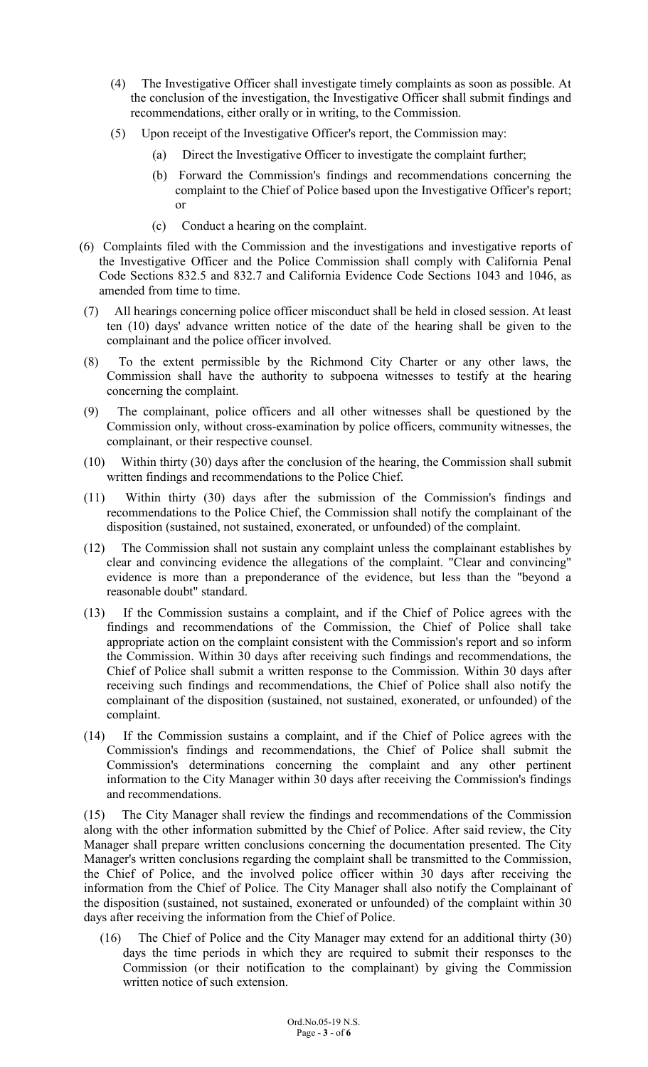- (4) The Investigative Officer shall investigate timely complaints as soon as possible. At the conclusion of the investigation, the Investigative Officer shall submit findings and recommendations, either orally or in writing, to the Commission.
- (5) Upon receipt of the Investigative Officer's report, the Commission may:
	- (a) Direct the Investigative Officer to investigate the complaint further;
	- (b) Forward the Commission's findings and recommendations concerning the complaint to the Chief of Police based upon the Investigative Officer's report; or
	- (c) Conduct a hearing on the complaint.
- (6) Complaints filed with the Commission and the investigations and investigative reports of the Investigative Officer and the Police Commission shall comply with California Penal Code Sections 832.5 and 832.7 and California Evidence Code Sections 1043 and 1046, as amended from time to time.
- (7) All hearings concerning police officer misconduct shall be held in closed session. At least ten (10) days' advance written notice of the date of the hearing shall be given to the complainant and the police officer involved.
- (8) To the extent permissible by the Richmond City Charter or any other laws, the Commission shall have the authority to subpoena witnesses to testify at the hearing concerning the complaint.
- (9) The complainant, police officers and all other witnesses shall be questioned by the Commission only, without cross-examination by police officers, community witnesses, the complainant, or their respective counsel.
- (10) Within thirty (30) days after the conclusion of the hearing, the Commission shall submit written findings and recommendations to the Police Chief.
- (11) Within thirty (30) days after the submission of the Commission's findings and recommendations to the Police Chief, the Commission shall notify the complainant of the disposition (sustained, not sustained, exonerated, or unfounded) of the complaint.
- (12) The Commission shall not sustain any complaint unless the complainant establishes by clear and convincing evidence the allegations of the complaint. "Clear and convincing" evidence is more than a preponderance of the evidence, but less than the "beyond a reasonable doubt" standard.
- (13) If the Commission sustains a complaint, and if the Chief of Police agrees with the findings and recommendations of the Commission, the Chief of Police shall take appropriate action on the complaint consistent with the Commission's report and so inform the Commission. Within 30 days after receiving such findings and recommendations, the Chief of Police shall submit a written response to the Commission. Within 30 days after receiving such findings and recommendations, the Chief of Police shall also notify the complainant of the disposition (sustained, not sustained, exonerated, or unfounded) of the complaint.
- (14) If the Commission sustains a complaint, and if the Chief of Police agrees with the Commission's findings and recommendations, the Chief of Police shall submit the Commission's determinations concerning the complaint and any other pertinent information to the City Manager within 30 days after receiving the Commission's findings and recommendations.

(15) The City Manager shall review the findings and recommendations of the Commission along with the other information submitted by the Chief of Police. After said review, the City Manager shall prepare written conclusions concerning the documentation presented. The City Manager's written conclusions regarding the complaint shall be transmitted to the Commission, the Chief of Police, and the involved police officer within 30 days after receiving the information from the Chief of Police. The City Manager shall also notify the Complainant of the disposition (sustained, not sustained, exonerated or unfounded) of the complaint within 30 days after receiving the information from the Chief of Police.

(16) The Chief of Police and the City Manager may extend for an additional thirty (30) days the time periods in which they are required to submit their responses to the Commission (or their notification to the complainant) by giving the Commission written notice of such extension.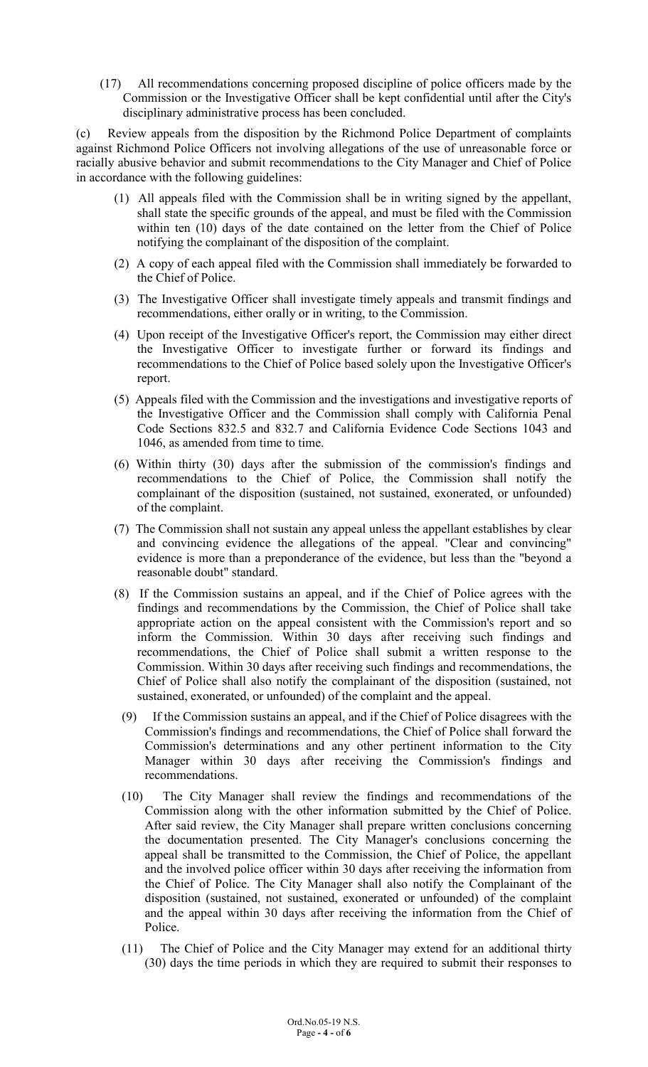(17) All recommendations concerning proposed discipline of police officers made by the Commission or the Investigative Officer shall be kept confidential until after the City's disciplinary administrative process has been concluded.

(c) Review appeals from the disposition by the Richmond Police Department of complaints against Richmond Police Officers not involving allegations of the use of unreasonable force or racially abusive behavior and submit recommendations to the City Manager and Chief of Police in accordance with the following guidelines:

- (1) All appeals filed with the Commission shall be in writing signed by the appellant, shall state the specific grounds of the appeal, and must be filed with the Commission within ten (10) days of the date contained on the letter from the Chief of Police notifying the complainant of the disposition of the complaint.
- (2) A copy of each appeal filed with the Commission shall immediately be forwarded to the Chief of Police.
- (3) The Investigative Officer shall investigate timely appeals and transmit findings and recommendations, either orally or in writing, to the Commission.
- (4) Upon receipt of the Investigative Officer's report, the Commission may either direct the Investigative Officer to investigate further or forward its findings and recommendations to the Chief of Police based solely upon the Investigative Officer's report.
- (5) Appeals filed with the Commission and the investigations and investigative reports of the Investigative Officer and the Commission shall comply with California Penal Code Sections 832.5 and 832.7 and California Evidence Code Sections 1043 and 1046, as amended from time to time.
- (6) Within thirty (30) days after the submission of the commission's findings and recommendations to the Chief of Police, the Commission shall notify the complainant of the disposition (sustained, not sustained, exonerated, or unfounded) of the complaint.
- (7) The Commission shall not sustain any appeal unless the appellant establishes by clear and convincing evidence the allegations of the appeal. "Clear and convincing" evidence is more than a preponderance of the evidence, but less than the "beyond a reasonable doubt" standard.
- (8) If the Commission sustains an appeal, and if the Chief of Police agrees with the findings and recommendations by the Commission, the Chief of Police shall take appropriate action on the appeal consistent with the Commission's report and so inform the Commission. Within 30 days after receiving such findings and recommendations, the Chief of Police shall submit a written response to the Commission. Within 30 days after receiving such findings and recommendations, the Chief of Police shall also notify the complainant of the disposition (sustained, not sustained, exonerated, or unfounded) of the complaint and the appeal.
- (9) If the Commission sustains an appeal, and if the Chief of Police disagrees with the Commission's findings and recommendations, the Chief of Police shall forward the Commission's determinations and any other pertinent information to the City Manager within 30 days after receiving the Commission's findings and recommendations.
- (10) The City Manager shall review the findings and recommendations of the Commission along with the other information submitted by the Chief of Police. After said review, the City Manager shall prepare written conclusions concerning the documentation presented. The City Manager's conclusions concerning the appeal shall be transmitted to the Commission, the Chief of Police, the appellant and the involved police officer within 30 days after receiving the information from the Chief of Police. The City Manager shall also notify the Complainant of the disposition (sustained, not sustained, exonerated or unfounded) of the complaint and the appeal within 30 days after receiving the information from the Chief of Police.
- (11) The Chief of Police and the City Manager may extend for an additional thirty (30) days the time periods in which they are required to submit their responses to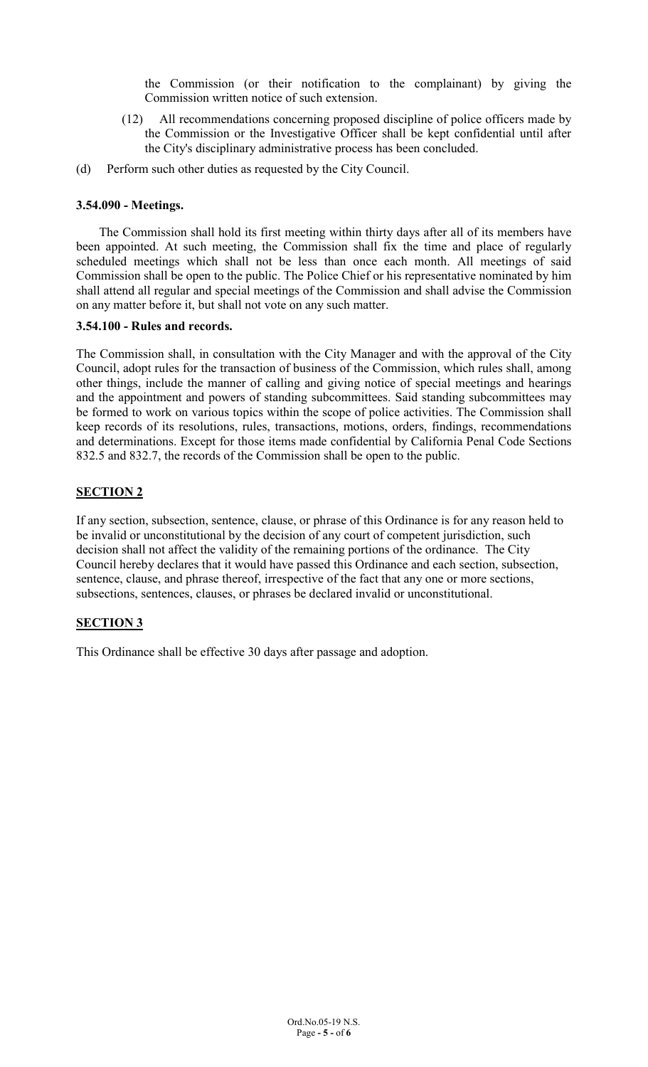the Commission (or their notification to the complainant) by giving the Commission written notice of such extension.

- (12) All recommendations concerning proposed discipline of police officers made by the Commission or the Investigative Officer shall be kept confidential until after the City's disciplinary administrative process has been concluded.
- (d) Perform such other duties as requested by the City Council.

# **3.54.090 - Meetings.**

The Commission shall hold its first meeting within thirty days after all of its members have been appointed. At such meeting, the Commission shall fix the time and place of regularly scheduled meetings which shall not be less than once each month. All meetings of said Commission shall be open to the public. The Police Chief or his representative nominated by him shall attend all regular and special meetings of the Commission and shall advise the Commission on any matter before it, but shall not vote on any such matter.

### **3.54.100 - Rules and records.**

The Commission shall, in consultation with the City Manager and with the approval of the City Council, adopt rules for the transaction of business of the Commission, which rules shall, among other things, include the manner of calling and giving notice of special meetings and hearings and the appointment and powers of standing subcommittees. Said standing subcommittees may be formed to work on various topics within the scope of police activities. The Commission shall keep records of its resolutions, rules, transactions, motions, orders, findings, recommendations and determinations. Except for those items made confidential by California Penal Code Sections 832.5 and 832.7, the records of the Commission shall be open to the public.

# **SECTION 2**

If any section, subsection, sentence, clause, or phrase of this Ordinance is for any reason held to be invalid or unconstitutional by the decision of any court of competent jurisdiction, such decision shall not affect the validity of the remaining portions of the ordinance. The City Council hereby declares that it would have passed this Ordinance and each section, subsection, sentence, clause, and phrase thereof, irrespective of the fact that any one or more sections, subsections, sentences, clauses, or phrases be declared invalid or unconstitutional.

# **SECTION 3**

This Ordinance shall be effective 30 days after passage and adoption.